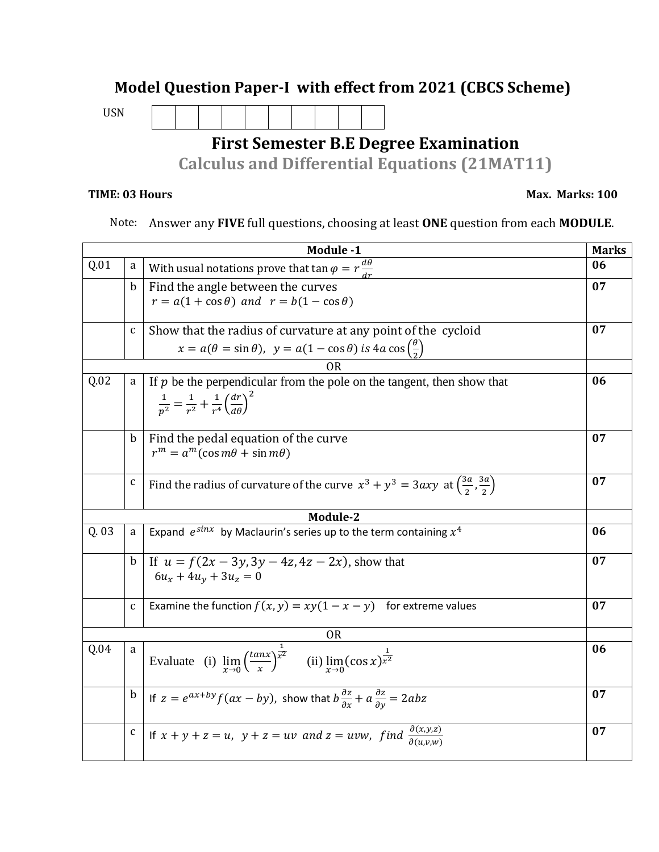## **Model Question Paper-I with effect from 2021 (CBCS Scheme)**

USN

## **First Semester B.E Degree Examination**

**Calculus and Differential Equations (21MAT11)**

## **TIME: 03 Hours Max. Marks: 100**

Note: Answer any **FIVE** full questions, choosing at least **ONE** question from each **MODULE**.

| Module -1 |              |                                                                                                                          |    |  |  |
|-----------|--------------|--------------------------------------------------------------------------------------------------------------------------|----|--|--|
| Q.01      | a            | With usual notations prove that $\tan \varphi = r \frac{d\theta}{dr}$                                                    | 06 |  |  |
|           | $\mathbf b$  | Find the angle between the curves                                                                                        | 07 |  |  |
|           |              | $r = a(1 + \cos \theta)$ and $r = b(1 - \cos \theta)$                                                                    |    |  |  |
|           |              |                                                                                                                          |    |  |  |
|           | $\mathsf C$  | Show that the radius of curvature at any point of the cycloid                                                            | 07 |  |  |
|           |              | $x = a(\theta = \sin \theta)$ , $y = a(1 - \cos \theta)$ is $4a \cos \left(\frac{\theta}{2}\right)$                      |    |  |  |
|           |              | 0R                                                                                                                       |    |  |  |
| Q.02      | a            | If $p$ be the perpendicular from the pole on the tangent, then show that                                                 | 06 |  |  |
|           |              | $\frac{1}{n^2} = \frac{1}{r^2} + \frac{1}{r^4} \left(\frac{dr}{d\theta}\right)^2$                                        |    |  |  |
|           |              |                                                                                                                          |    |  |  |
|           | b            | Find the pedal equation of the curve                                                                                     | 07 |  |  |
|           |              | $r^m = a^m(\cos m\theta + \sin m\theta)$                                                                                 |    |  |  |
|           |              |                                                                                                                          |    |  |  |
|           | C            | Find the radius of curvature of the curve $x^3 + y^3 = 3axy$ at $\left(\frac{3a}{2}, \frac{3a}{2}\right)$                | 07 |  |  |
|           |              |                                                                                                                          |    |  |  |
|           |              | Module-2                                                                                                                 |    |  |  |
| Q.03      | a            | Expand $e^{\sin x}$ by Maclaurin's series up to the term containing $x^4$                                                | 06 |  |  |
|           |              |                                                                                                                          |    |  |  |
|           | b            | If $u = f(2x - 3y, 3y - 4z, 4z - 2x)$ , show that                                                                        | 07 |  |  |
|           |              | $6u_x + 4u_y + 3u_z = 0$                                                                                                 |    |  |  |
|           |              | Examine the function $f(x, y) = xy(1 - x - y)$ for extreme values                                                        | 07 |  |  |
|           | $\mathbf{C}$ |                                                                                                                          |    |  |  |
| <b>OR</b> |              |                                                                                                                          |    |  |  |
| Q.04      | a            |                                                                                                                          | 06 |  |  |
|           |              | Evaluate (i) $\lim_{x\to 0} \left(\frac{\tan x}{x}\right)^{\frac{1}{x^2}}$ (ii) $\lim_{x\to 0} (\cos x)^{\frac{1}{x^2}}$ |    |  |  |
|           |              |                                                                                                                          |    |  |  |
|           | $\mathbf b$  | If $z = e^{ax+by} f(ax - by)$ , show that $b \frac{\partial z}{\partial x} + a \frac{\partial z}{\partial y} = 2abz$     | 07 |  |  |
|           |              |                                                                                                                          |    |  |  |
|           | $\mathbf c$  | If $x + y + z = u$ , $y + z = uv$ and $z = uvw$ , find $\frac{\partial(x,y,z)}{\partial(u,v,w)}$                         | 07 |  |  |
|           |              |                                                                                                                          |    |  |  |
|           |              |                                                                                                                          |    |  |  |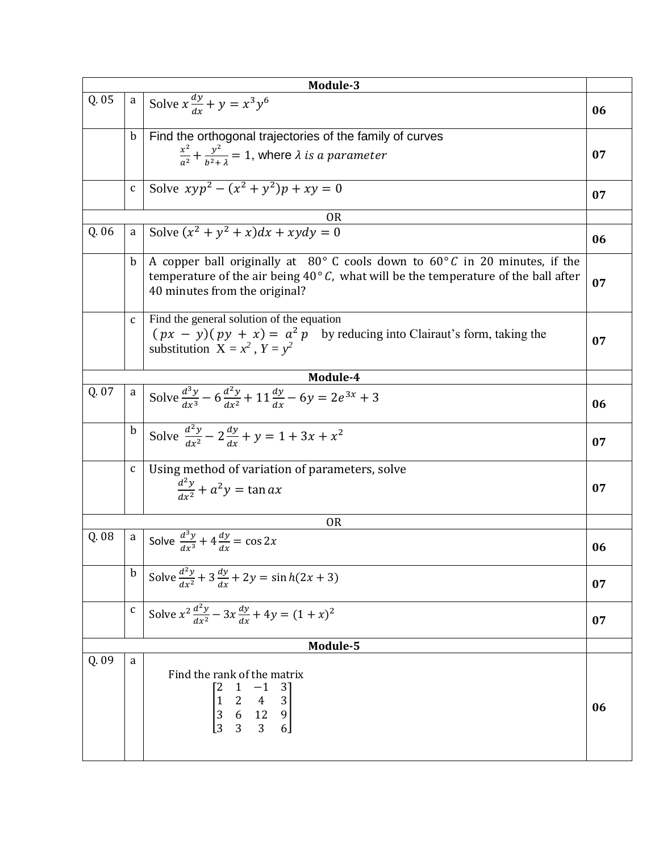| Module-3       |              |                                                                                                                                                                                                                                     |    |  |  |
|----------------|--------------|-------------------------------------------------------------------------------------------------------------------------------------------------------------------------------------------------------------------------------------|----|--|--|
| Q.05           | $\mathbf{a}$ | Solve $x \frac{dy}{dx} + y = x^3 y^6$                                                                                                                                                                                               | 06 |  |  |
|                | $\mathbf b$  | Find the orthogonal trajectories of the family of curves                                                                                                                                                                            |    |  |  |
|                |              | $\frac{x^2}{a^2} + \frac{y^2}{b^2+1} = 1$ , where $\lambda$ is a parameter                                                                                                                                                          | 07 |  |  |
|                | $\mathsf{C}$ | Solve $xyp^{2} - (x^{2} + y^{2})p + xy = 0$                                                                                                                                                                                         | 07 |  |  |
|                |              | <b>OR</b>                                                                                                                                                                                                                           |    |  |  |
| Q.06           | $\mathsf{a}$ | Solve $(x^2 + y^2 + x)dx + xydy = 0$                                                                                                                                                                                                | 06 |  |  |
|                | b            | A copper ball originally at $80^{\circ}$ C cools down to $60^{\circ}$ C in 20 minutes, if the<br>temperature of the air being $40^{\circ}$ C, what will be the temperature of the ball after<br>07<br>40 minutes from the original? |    |  |  |
|                | $\mathbf{C}$ | Find the general solution of the equation<br>$(px - y)(py + x) = a^2 p$ by reducing into Clairaut's form, taking the<br>substitution $X = x^2$ , $Y = y^2$                                                                          |    |  |  |
| Module-4       |              |                                                                                                                                                                                                                                     |    |  |  |
| Q. 07          | $\mathbf{a}$ | Solve $\frac{d^3y}{dx^3}$ – 6 $\frac{d^2y}{dx^2}$ + 11 $\frac{dy}{dx}$ – 6y = 2e <sup>3x</sup> + 3                                                                                                                                  | 06 |  |  |
|                | $\mathbf b$  | Solve $\frac{d^2y}{dx^2} - 2\frac{dy}{dx} + y = 1 + 3x + x^2$                                                                                                                                                                       | 07 |  |  |
|                | $\mathbf{C}$ | Using method of variation of parameters, solve<br>$\frac{d^2y}{dx^2} + a^2y = \tan ax$<br>07                                                                                                                                        |    |  |  |
| 0 <sub>R</sub> |              |                                                                                                                                                                                                                                     |    |  |  |
| Q.08           |              | a Solve $\frac{d^3y}{dx^3} + 4\frac{dy}{dx} = \cos 2x$                                                                                                                                                                              | 06 |  |  |
|                | $\mathbf b$  | Solve $\frac{d^2y}{dx^2} + 3\frac{dy}{dx} + 2y = \sinh(2x + 3)$                                                                                                                                                                     | 07 |  |  |
|                | $\mathbf{C}$ | Solve $x^2 \frac{d^2y}{dx^2} - 3x \frac{dy}{dx} + 4y = (1 + x)^2$                                                                                                                                                                   | 07 |  |  |
| Module-5       |              |                                                                                                                                                                                                                                     |    |  |  |
| Q. 09          | a            | Find the rank of the matrix<br>$\begin{bmatrix} 2 & 1 & -1 & 3 \\ 1 & 2 & 4 & 3 \\ 3 & 6 & 12 & 9 \\ 3 & 3 & 3 & 6 \end{bmatrix}$                                                                                                   | 06 |  |  |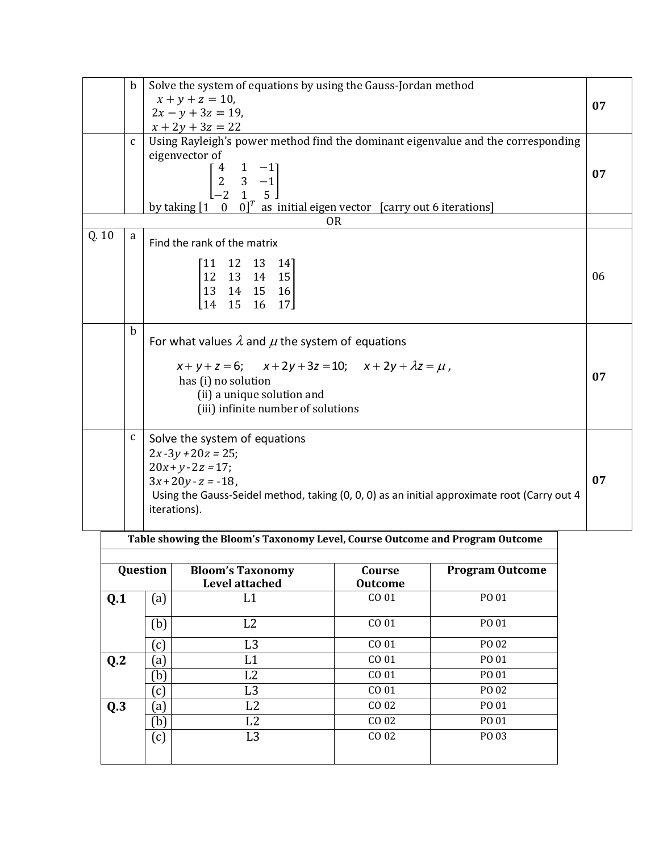|      | $\mathbf b$  | Solve the system of equations by using the Gauss-Jordan method<br>$x + y + z = 10$ ,<br>$2x - y + 3z = 19$ ,                                                                                                                                                                                                 | 07 |
|------|--------------|--------------------------------------------------------------------------------------------------------------------------------------------------------------------------------------------------------------------------------------------------------------------------------------------------------------|----|
|      | $\mathbf{C}$ | $x + 2y + 3z = 22$<br>Using Rayleigh's power method find the dominant eigenvalue and the corresponding<br>eigenvector of<br>$\begin{bmatrix} 4 & 1 & -1 \\ 2 & 3 & -1 \\ -2 & 1 & 5 \end{bmatrix}$<br>by taking $\begin{bmatrix} 1 & 0 & 0 \end{bmatrix}^T$ as initial eigen vector [carry out 6 iterations] | 07 |
| Q.10 | a            | <b>OR</b>                                                                                                                                                                                                                                                                                                    |    |
|      |              | Find the rank of the matrix<br>11 12 13<br>- 141<br>$\begin{array}{cccc} 12 & 13 & 14 & 15 \\ 13 & 14 & 15 & 16 \end{array}$<br>15 16 17<br>14                                                                                                                                                               | 06 |
|      | b            | For what values $\lambda$ and $\mu$ the system of equations<br>$x+y+z=6$ ; $x+2y+3z=10$ ; $x+2y+\lambda z=\mu$ ,<br>has (i) no solution<br>(ii) a unique solution and<br>(iii) infinite number of solutions                                                                                                  | 07 |
|      | C            | Solve the system of equations<br>$2x-3y+20z = 25;$<br>$20x + y - 2z = 17;$<br>$3x+20y-z = -18$ ,<br>Using the Gauss-Seidel method, taking (0, 0, 0) as an initial approximate root (Carry out 4<br>iterations).                                                                                              | 07 |
|      |              | Table showing the Bloom's Taxonomy Level, Course Outcome and Program Outcome                                                                                                                                                                                                                                 |    |

| Question       |                   | <b>Bloom's Taxonomy</b><br><b>Level attached</b> | Course<br><b>Outcome</b> | <b>Program Outcome</b> |
|----------------|-------------------|--------------------------------------------------|--------------------------|------------------------|
| Q.1            | $\left(a\right)$  | L1                                               | CO 01                    | PO 01                  |
|                | (b)               | L2                                               | CO 01                    | PO 01                  |
|                | $\left[ c\right]$ | L <sub>3</sub>                                   | CO 01                    | PO 02                  |
| Q <sub>2</sub> | [a]               | L1                                               | CO 01                    | PO 01                  |
|                | b)                | L2                                               | CO 01                    | PO 01                  |
|                | $\left[ c\right]$ | L <sub>3</sub>                                   | CO <sub>01</sub>         | PO 02                  |
| Q.3            | [a]               | L2                                               | CO <sub>02</sub>         | PO 01                  |
|                | b)                | L2                                               | CO <sub>02</sub>         | PO 01                  |
|                | (c)               | L <sub>3</sub>                                   | CO <sub>02</sub>         | PO 03                  |